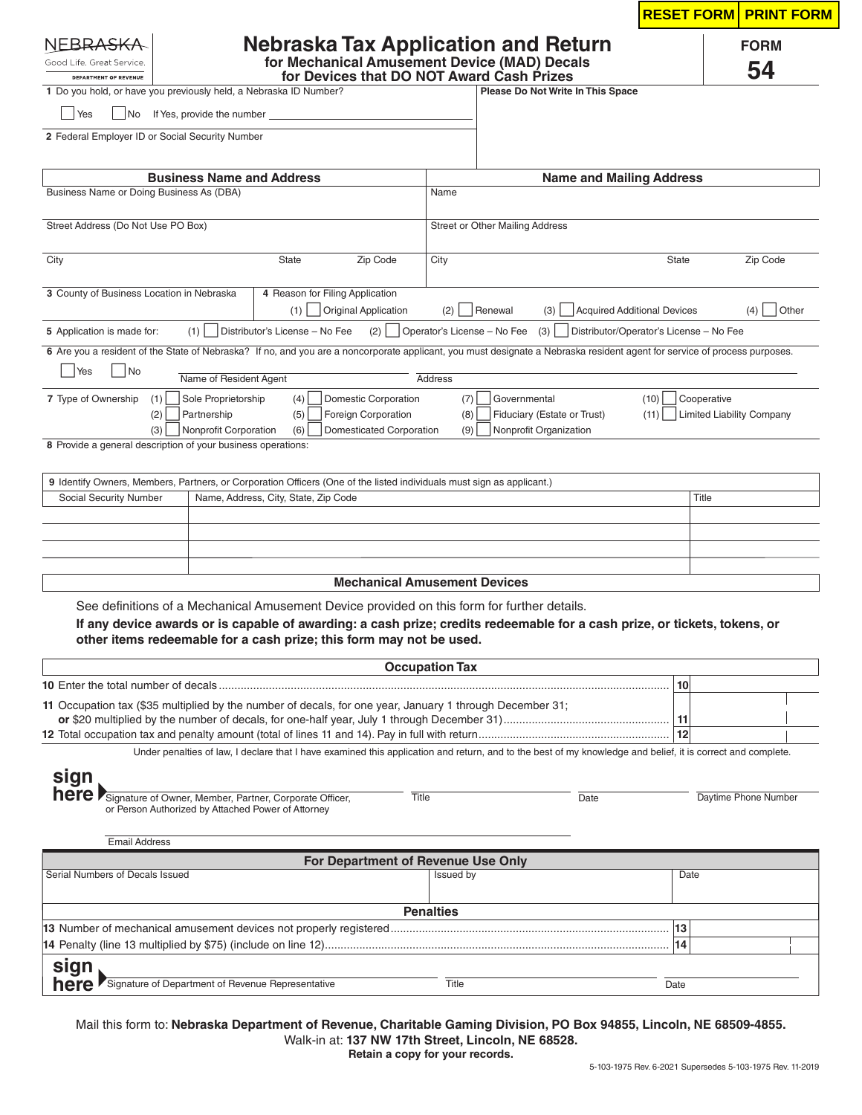|                                                                                                                                                       |                                                                                                                                                                           |                                     |                                   |                                         | <b>RESET FORM</b><br><b>PRINT FORM</b> |
|-------------------------------------------------------------------------------------------------------------------------------------------------------|---------------------------------------------------------------------------------------------------------------------------------------------------------------------------|-------------------------------------|-----------------------------------|-----------------------------------------|----------------------------------------|
|                                                                                                                                                       | <b>Nebraska Tax Application and Return</b>                                                                                                                                |                                     |                                   |                                         | <b>FORM</b>                            |
| for Mechanical Amusement Device (MAD) Decals<br>Good Life. Great Service.<br>for Devices that DO NOT Award Cash Prizes                                |                                                                                                                                                                           |                                     |                                   |                                         | 54                                     |
| <b>DEPARTMENT OF REVENUE</b><br>1 Do you hold, or have you previously held, a Nebraska ID Number?                                                     |                                                                                                                                                                           |                                     | Please Do Not Write In This Space |                                         |                                        |
| Yes<br>  No<br>If Yes, provide the number                                                                                                             |                                                                                                                                                                           |                                     |                                   |                                         |                                        |
| 2 Federal Employer ID or Social Security Number                                                                                                       |                                                                                                                                                                           |                                     |                                   |                                         |                                        |
|                                                                                                                                                       |                                                                                                                                                                           |                                     |                                   |                                         |                                        |
| <b>Business Name and Address</b>                                                                                                                      |                                                                                                                                                                           |                                     |                                   | <b>Name and Mailing Address</b>         |                                        |
| Business Name or Doing Business As (DBA)                                                                                                              |                                                                                                                                                                           | Name                                |                                   |                                         |                                        |
| Street Address (Do Not Use PO Box)                                                                                                                    |                                                                                                                                                                           |                                     | Street or Other Mailing Address   |                                         |                                        |
| City                                                                                                                                                  | State<br>Zip Code                                                                                                                                                         | City                                |                                   | <b>State</b>                            | Zip Code                               |
| 3 County of Business Location in Nebraska                                                                                                             | 4 Reason for Filing Application                                                                                                                                           |                                     |                                   |                                         |                                        |
|                                                                                                                                                       | <b>Original Application</b><br>(1)                                                                                                                                        | (2)                                 | Renewal<br>(3)                    | <b>Acquired Additional Devices</b>      | Other<br>(4)                           |
| (1)<br>5 Application is made for:                                                                                                                     | Distributor's License - No Fee                                                                                                                                            | $(2)$   Operator's License – No Fee | (3)                               | Distributor/Operator's License - No Fee |                                        |
|                                                                                                                                                       | 6 Are you a resident of the State of Nebraska? If no, and you are a noncorporate applicant, you must designate a Nebraska resident agent for service of process purposes. |                                     |                                   |                                         |                                        |
| Yes<br><b>No</b>                                                                                                                                      | Name of Resident Agent                                                                                                                                                    | Address                             |                                   |                                         |                                        |
| 7 Type of Ownership<br>Sole Proprietorship<br>(1)                                                                                                     | <b>Domestic Corporation</b><br>(4)                                                                                                                                        | (7)                                 | Governmental                      | (10)                                    | Cooperative                            |
| (2)<br>Partnership                                                                                                                                    | (5)<br>Foreign Corporation                                                                                                                                                | (8)                                 | Fiduciary (Estate or Trust)       | (11)                                    | <b>Limited Liability Company</b>       |
| (3)                                                                                                                                                   | Nonprofit Corporation<br>(6)<br><b>Domesticated Corporation</b>                                                                                                           | (9)                                 | Nonprofit Organization            |                                         |                                        |
| 8 Provide a general description of your business operations:                                                                                          |                                                                                                                                                                           |                                     |                                   |                                         |                                        |
|                                                                                                                                                       | 9 Identify Owners, Members, Partners, or Corporation Officers (One of the listed individuals must sign as applicant.)                                                     |                                     |                                   |                                         |                                        |
| Social Security Number                                                                                                                                | Name, Address, City, State, Zip Code                                                                                                                                      |                                     |                                   |                                         | Title                                  |
|                                                                                                                                                       |                                                                                                                                                                           |                                     |                                   |                                         |                                        |
|                                                                                                                                                       |                                                                                                                                                                           |                                     |                                   |                                         |                                        |
|                                                                                                                                                       |                                                                                                                                                                           |                                     |                                   |                                         |                                        |
|                                                                                                                                                       | <b>Mechanical Amusement Devices</b>                                                                                                                                       |                                     |                                   |                                         |                                        |
|                                                                                                                                                       | See definitions of a Mechanical Amusement Device provided on this form for further details.                                                                               |                                     |                                   |                                         |                                        |
|                                                                                                                                                       | If any device awards or is capable of awarding: a cash prize; credits redeemable for a cash prize, or tickets, tokens, or                                                 |                                     |                                   |                                         |                                        |
|                                                                                                                                                       | other items redeemable for a cash prize; this form may not be used.                                                                                                       |                                     |                                   |                                         |                                        |
|                                                                                                                                                       |                                                                                                                                                                           | <b>Occupation Tax</b>               |                                   |                                         |                                        |
|                                                                                                                                                       |                                                                                                                                                                           |                                     |                                   | 10                                      |                                        |
|                                                                                                                                                       | 11 Occupation tax (\$35 multiplied by the number of decals, for one year, January 1 through December 31;                                                                  |                                     |                                   |                                         |                                        |
|                                                                                                                                                       |                                                                                                                                                                           |                                     |                                   |                                         |                                        |
|                                                                                                                                                       |                                                                                                                                                                           |                                     |                                   | 12                                      |                                        |
|                                                                                                                                                       | Under penalties of law, I declare that I have examined this application and return, and to the best of my knowledge and belief, it is correct and complete.               |                                     |                                   |                                         |                                        |
|                                                                                                                                                       |                                                                                                                                                                           |                                     |                                   |                                         |                                        |
| or Person Authorized by Attached Power of Attorney                                                                                                    |                                                                                                                                                                           | Title                               | Date                              |                                         | Daytime Phone Number                   |
|                                                                                                                                                       |                                                                                                                                                                           |                                     |                                   |                                         |                                        |
| <b>Email Address</b>                                                                                                                                  |                                                                                                                                                                           |                                     |                                   |                                         |                                        |
|                                                                                                                                                       | For Department of Revenue Use Only                                                                                                                                        | Issued by                           |                                   |                                         | Date                                   |
|                                                                                                                                                       |                                                                                                                                                                           |                                     |                                   |                                         |                                        |
|                                                                                                                                                       |                                                                                                                                                                           | <b>Penalties</b>                    |                                   |                                         |                                        |
|                                                                                                                                                       |                                                                                                                                                                           |                                     |                                   | 13                                      |                                        |
| <b>10</b> Enter the total number of decals<br>sign<br>here Signature of Owner, Member, Partner, Corporate Officer,<br>Serial Numbers of Decals Issued |                                                                                                                                                                           |                                     |                                   | 14                                      |                                        |
| sign<br>Signature of Department of Revenue Representative<br>here                                                                                     |                                                                                                                                                                           | Title                               |                                   | Date                                    |                                        |

Walk-in at: **137 NW 17th Street, Lincoln, NE 68528.**

**Retain a copy for your records.**